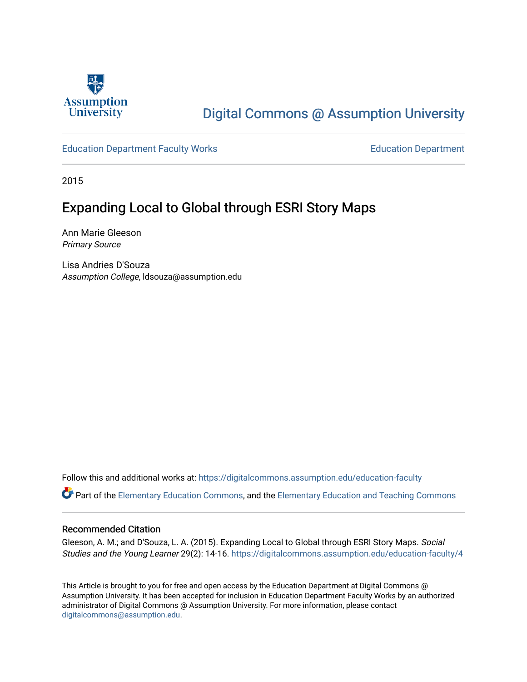

## [Digital Commons @ Assumption University](https://digitalcommons.assumption.edu/)

#### [Education Department Faculty Works](https://digitalcommons.assumption.edu/education-faculty) [Education Department](https://digitalcommons.assumption.edu/education)

2015

## Expanding Local to Global through ESRI Story Maps

Ann Marie Gleeson Primary Source

Lisa Andries D'Souza Assumption College, ldsouza@assumption.edu

Follow this and additional works at: [https://digitalcommons.assumption.edu/education-faculty](https://digitalcommons.assumption.edu/education-faculty?utm_source=digitalcommons.assumption.edu%2Feducation-faculty%2F4&utm_medium=PDF&utm_campaign=PDFCoverPages) 

**C** Part of the [Elementary Education Commons,](http://network.bepress.com/hgg/discipline/1378?utm_source=digitalcommons.assumption.edu%2Feducation-faculty%2F4&utm_medium=PDF&utm_campaign=PDFCoverPages) and the Elementary Education and Teaching Commons

#### Recommended Citation

Gleeson, A. M.; and D'Souza, L. A. (2015). Expanding Local to Global through ESRI Story Maps. Social Studies and the Young Learner 29(2): 14-16. [https://digitalcommons.assumption.edu/education-faculty/4](https://digitalcommons.assumption.edu/education-faculty/4?utm_source=digitalcommons.assumption.edu%2Feducation-faculty%2F4&utm_medium=PDF&utm_campaign=PDFCoverPages)

This Article is brought to you for free and open access by the Education Department at Digital Commons @ Assumption University. It has been accepted for inclusion in Education Department Faculty Works by an authorized administrator of Digital Commons @ Assumption University. For more information, please contact [digitalcommons@assumption.edu](mailto:digitalcommons@assumption.edu).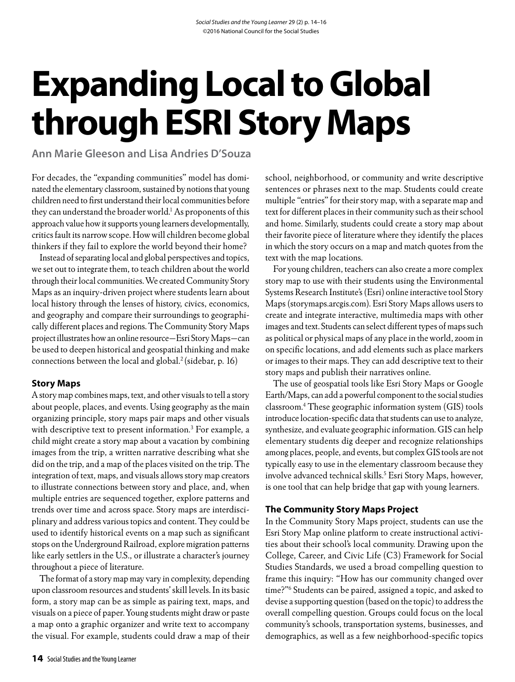# **Expanding Local to Global through ESRI Story Maps**

**Ann Marie Gleeson and Lisa Andries D'Souza**

For decades, the "expanding communities" model has dominated the elementary classroom, sustained by notions that young children need to first understand their local communities before they can understand the broader world.<sup>1</sup> As proponents of this approach value how it supports young learners developmentally, critics fault its narrow scope. How will children become global thinkers if they fail to explore the world beyond their home?

Instead of separating local and global perspectives and topics, we set out to integrate them, to teach children about the world through their local communities. We created Community Story Maps as an inquiry-driven project where students learn about local history through the lenses of history, civics, economics, and geography and compare their surroundings to geographically different places and regions. The Community Story Maps project illustrates how an online resource—Esri Story Maps—can be used to deepen historical and geospatial thinking and make connections between the local and global.<sup>2</sup> (sidebar, p. 16)

#### **Story Maps**

A story map combines maps, text, and other visuals to tell a story about people, places, and events. Using geography as the main organizing principle, story maps pair maps and other visuals with descriptive text to present information.<sup>3</sup> For example, a child might create a story map about a vacation by combining images from the trip, a written narrative describing what she did on the trip, and a map of the places visited on the trip. The integration of text, maps, and visuals allows story map creators to illustrate connections between story and place, and, when multiple entries are sequenced together, explore patterns and trends over time and across space. Story maps are interdisciplinary and address various topics and content. They could be used to identify historical events on a map such as significant stops on the Underground Railroad, explore migration patterns like early settlers in the U.S., or illustrate a character's journey throughout a piece of literature.

The format of a story map may vary in complexity, depending upon classroom resources and students' skill levels. In its basic form, a story map can be as simple as pairing text, maps, and visuals on a piece of paper. Young students might draw or paste a map onto a graphic organizer and write text to accompany the visual. For example, students could draw a map of their school, neighborhood, or community and write descriptive sentences or phrases next to the map. Students could create multiple "entries" for their story map, with a separate map and text for different places in their community such as their school and home. Similarly, students could create a story map about their favorite piece of literature where they identify the places in which the story occurs on a map and match quotes from the text with the map locations.

For young children, teachers can also create a more complex story map to use with their students using the Environmental Systems Research Institute's (Esri) online interactive tool Story Maps (storymaps.arcgis.com). Esri Story Maps allows users to create and integrate interactive, multimedia maps with other images and text. Students can select different types of maps such as political or physical maps of any place in the world, zoom in on specific locations, and add elements such as place markers or images to their maps. They can add descriptive text to their story maps and publish their narratives online.

The use of geospatial tools like Esri Story Maps or Google Earth/Maps, can add a powerful component to the social studies classroom.4 These geographic information system (GIS) tools introduce location-specific data that students can use to analyze, synthesize, and evaluate geographic information. GIS can help elementary students dig deeper and recognize relationships among places, people, and events, but complex GIS tools are not typically easy to use in the elementary classroom because they involve advanced technical skills.<sup>5</sup> Esri Story Maps, however, is one tool that can help bridge that gap with young learners.

#### **The Community Story Maps Project**

In the Community Story Maps project, students can use the Esri Story Map online platform to create instructional activities about their school's local community. Drawing upon the College, Career, and Civic Life (C3) Framework for Social Studies Standards, we used a broad compelling question to frame this inquiry: "How has our community changed over time?"6 Students can be paired, assigned a topic, and asked to devise a supporting question (based on the topic) to address the overall compelling question. Groups could focus on the local community's schools, transportation systems, businesses, and demographics, as well as a few neighborhood-specific topics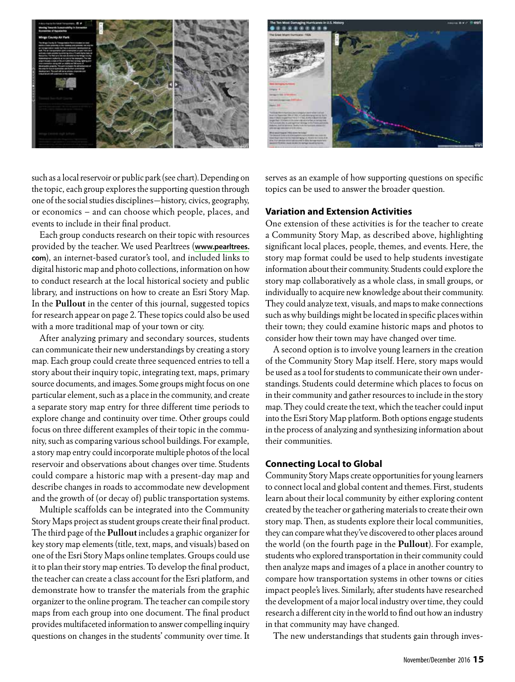



such as a local reservoir or public park (see chart). Depending on the topic, each group explores the supporting question through one of the social studies disciplines—history, civics, geography, or economics – and can choose which people, places, and events to include in their final product.

Each group conducts research on their topic with resources provided by the teacher. We used Pearltrees (**[www.pearltrees.](http://www.pearltrees) com**), an internet-based curator's tool, and included links to digital historic map and photo collections, information on how to conduct research at the local historical society and public library, and instructions on how to create an Esri Story Map. In the **Pullout** in the center of this journal, suggested topics for research appear on page 2. These topics could also be used with a more traditional map of your town or city.

After analyzing primary and secondary sources, students can communicate their new understandings by creating a story map. Each group could create three sequenced entries to tell a story about their inquiry topic, integrating text, maps, primary source documents, and images. Some groups might focus on one particular element, such as a place in the community, and create a separate story map entry for three different time periods to explore change and continuity over time. Other groups could focus on three different examples of their topic in the community, such as comparing various school buildings. For example, a story map entry could incorporate multiple photos of the local reservoir and observations about changes over time. Students could compare a historic map with a present-day map and describe changes in roads to accommodate new development and the growth of (or decay of) public transportation systems.

Multiple scaffolds can be integrated into the Community Story Maps project as student groups create their final product. The third page of the **Pullout** includes a graphic organizer for key story map elements (title, text, maps, and visuals) based on one of the Esri Story Maps online templates. Groups could use it to plan their story map entries. To develop the final product, the teacher can create a class account for the Esri platform, and demonstrate how to transfer the materials from the graphic organizer to the online program. The teacher can compile story maps from each group into one document. The final product provides multifaceted information to answer compelling inquiry questions on changes in the students' community over time. It serves as an example of how supporting questions on specific topics can be used to answer the broader question.

#### **Variation and Extension Activities**

One extension of these activities is for the teacher to create a Community Story Map, as described above, highlighting significant local places, people, themes, and events. Here, the story map format could be used to help students investigate information about their community. Students could explore the story map collaboratively as a whole class, in small groups, or individually to acquire new knowledge about their community. They could analyze text, visuals, and maps to make connections such as why buildings might be located in specific places within their town; they could examine historic maps and photos to consider how their town may have changed over time.

A second option is to involve young learners in the creation of the Community Story Map itself. Here, story maps would be used as a tool for students to communicate their own understandings. Students could determine which places to focus on in their community and gather resources to include in the story map. They could create the text, which the teacher could input into the Esri Story Map platform. Both options engage students in the process of analyzing and synthesizing information about their communities.

#### **Connecting Local to Global**

Community Story Maps create opportunities for young learners to connect local and global content and themes. First, students learn about their local community by either exploring content created by the teacher or gathering materials to create their own story map. Then, as students explore their local communities, they can compare what they've discovered to other places around the world (on the fourth page in the **Pullout**). For example, students who explored transportation in their community could then analyze maps and images of a place in another country to compare how transportation systems in other towns or cities impact people's lives. Similarly, after students have researched the development of a major local industry over time, they could research a different city in the world to find out how an industry in that community may have changed.

The new understandings that students gain through inves-